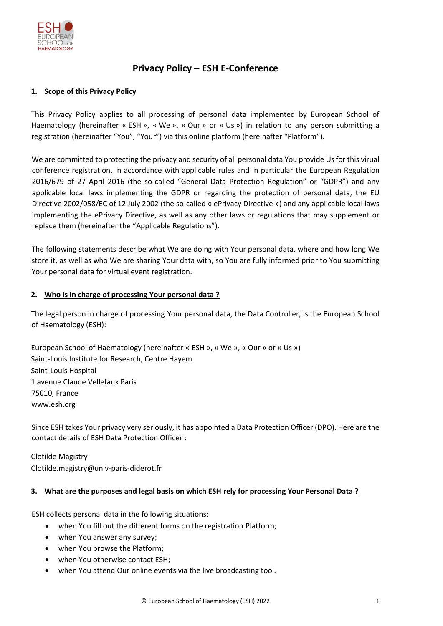

# **Privacy Policy – ESH E-Conference**

## **1. Scope of this Privacy Policy**

This Privacy Policy applies to all processing of personal data implemented by European School of Haematology (hereinafter « ESH », « We », « Our » or « Us ») in relation to any person submitting a registration (hereinafter "You", "Your") via this online platform (hereinafter "Platform").

We are committed to protecting the privacy and security of all personal data You provide Us for this virual conference registration, in accordance with applicable rules and in particular the European Regulation 2016/679 of 27 April 2016 (the so-called "General Data Protection Regulation" or "GDPR") and any applicable local laws implementing the GDPR or regarding the protection of personal data, the EU Directive 2002/058/EC of 12 July 2002 (the so-called « ePrivacy Directive ») and any applicable local laws implementing the ePrivacy Directive, as well as any other laws or regulations that may supplement or replace them (hereinafter the "Applicable Regulations").

The following statements describe what We are doing with Your personal data, where and how long We store it, as well as who We are sharing Your data with, so You are fully informed prior to You submitting Your personal data for virtual event registration.

### **2. Who is in charge of processing Your personal data ?**

The legal person in charge of processing Your personal data, the Data Controller, is the European School of Haematology (ESH):

European School of Haematology (hereinafter « ESH », « We », « Our » or « Us ») Saint-Louis Institute for Research, Centre Hayem Saint-Louis Hospital 1 avenue Claude Vellefaux Paris 75010, France www.esh.org

Since ESH takes Your privacy very seriously, it has appointed a Data Protection Officer (DPO). Here are the contact details of ESH Data Protection Officer :

Clotilde Magistry Clotilde.magistry@univ-paris-diderot.fr

### **3. What are the purposes and legal basis on which ESH rely for processing Your Personal Data ?**

ESH collects personal data in the following situations:

- when You fill out the different forms on the registration Platform;
- when You answer any survey;
- when You browse the Platform;
- when You otherwise contact ESH;
- when You attend Our online events via the live broadcasting tool.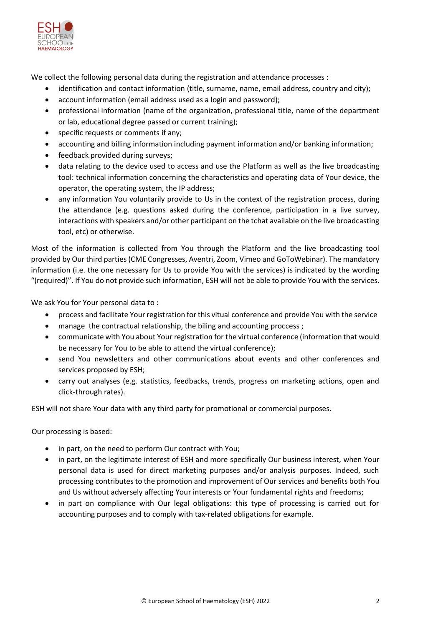

We collect the following personal data during the registration and attendance processes :

- identification and contact information (title, surname, name, email address, country and city);
- account information (email address used as a login and password);
- professional information (name of the organization, professional title, name of the department or lab, educational degree passed or current training);
- specific requests or comments if any;
- accounting and billing information including payment information and/or banking information;
- feedback provided during surveys;
- data relating to the device used to access and use the Platform as well as the live broadcasting tool: technical information concerning the characteristics and operating data of Your device, the operator, the operating system, the IP address;
- any information You voluntarily provide to Us in the context of the registration process, during the attendance (e.g. questions asked during the conference, participation in a live survey, interactions with speakers and/or other participant on the tchat available on the live broadcasting tool, etc) or otherwise.

Most of the information is collected from You through the Platform and the live broadcasting tool provided by Our third parties (CME Congresses, Aventri, Zoom, Vimeo and GoToWebinar). The mandatory information (i.e. the one necessary for Us to provide You with the services) is indicated by the wording "(required)". If You do not provide such information, ESH will not be able to provide You with the services.

We ask You for Your personal data to :

- process and facilitate Your registration for this vitual conference and provide You with the service
- manage the contractual relationship, the biling and accounting proccess;
- communicate with You about Your registration for the virtual conference (information that would be necessary for You to be able to attend the virtual conference);
- send You newsletters and other communications about events and other conferences and services proposed by ESH;
- carry out analyses (e.g. statistics, feedbacks, trends, progress on marketing actions, open and click-through rates).

ESH will not share Your data with any third party for promotional or commercial purposes.

Our processing is based:

- in part, on the need to perform Our contract with You;
- in part, on the legitimate interest of ESH and more specifically Our business interest, when Your personal data is used for direct marketing purposes and/or analysis purposes. Indeed, such processing contributes to the promotion and improvement of Our services and benefits both You and Us without adversely affecting Your interests or Your fundamental rights and freedoms;
- in part on compliance with Our legal obligations: this type of processing is carried out for accounting purposes and to comply with tax-related obligations for example.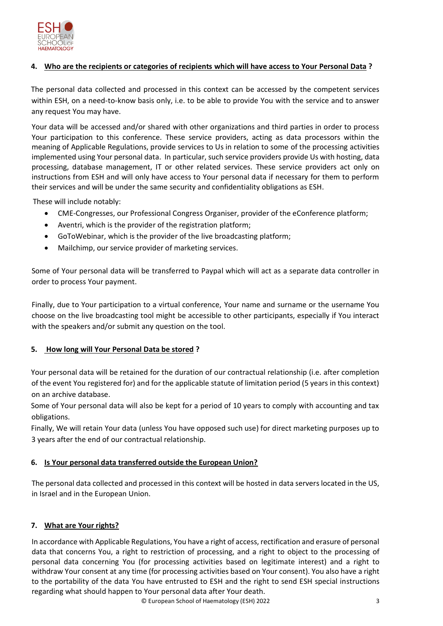

# **4. Who are the recipients or categories of recipients which will have access to Your Personal Data ?**

The personal data collected and processed in this context can be accessed by the competent services within ESH, on a need-to-know basis only, i.e. to be able to provide You with the service and to answer any request You may have.

Your data will be accessed and/or shared with other organizations and third parties in order to process Your participation to this conference. These service providers, acting as data processors within the meaning of Applicable Regulations, provide services to Us in relation to some of the processing activities implemented using Your personal data. In particular, such service providers provide Us with hosting, data processing, database management, IT or other related services. These service providers act only on instructions from ESH and will only have access to Your personal data if necessary for them to perform their services and will be under the same security and confidentiality obligations as ESH.

These will include notably:

- CME-Congresses, our Professional Congress Organiser, provider of the eConference platform;
- Aventri, which is the provider of the registration platform;
- GoToWebinar, which is the provider of the live broadcasting platform;
- Mailchimp, our service provider of marketing services.

Some of Your personal data will be transferred to Paypal which will act as a separate data controller in order to process Your payment.

Finally, due to Your participation to a virtual conference, Your name and surname or the username You choose on the live broadcasting tool might be accessible to other participants, especially if You interact with the speakers and/or submit any question on the tool.

# **5. How long will Your Personal Data be stored ?**

Your personal data will be retained for the duration of our contractual relationship (i.e. after completion of the event You registered for) and for the applicable statute of limitation period (5 years in this context) on an archive database.

Some of Your personal data will also be kept for a period of 10 years to comply with accounting and tax obligations.

Finally, We will retain Your data (unless You have opposed such use) for direct marketing purposes up to 3 years after the end of our contractual relationship.

# **6. Is Your personal data transferred outside the European Union?**

The personal data collected and processed in this context will be hosted in data servers located in the US, in Israel and in the European Union.

# **7. What are Your rights?**

In accordance with Applicable Regulations, You have a right of access, rectification and erasure of personal data that concerns You, a right to restriction of processing, and a right to object to the processing of personal data concerning You (for processing activities based on legitimate interest) and a right to withdraw Your consent at any time (for processing activities based on Your consent). You also have a right to the portability of the data You have entrusted to ESH and the right to send ESH special instructions regarding what should happen to Your personal data after Your death.

© European School of Haematology (ESH) 2022 3